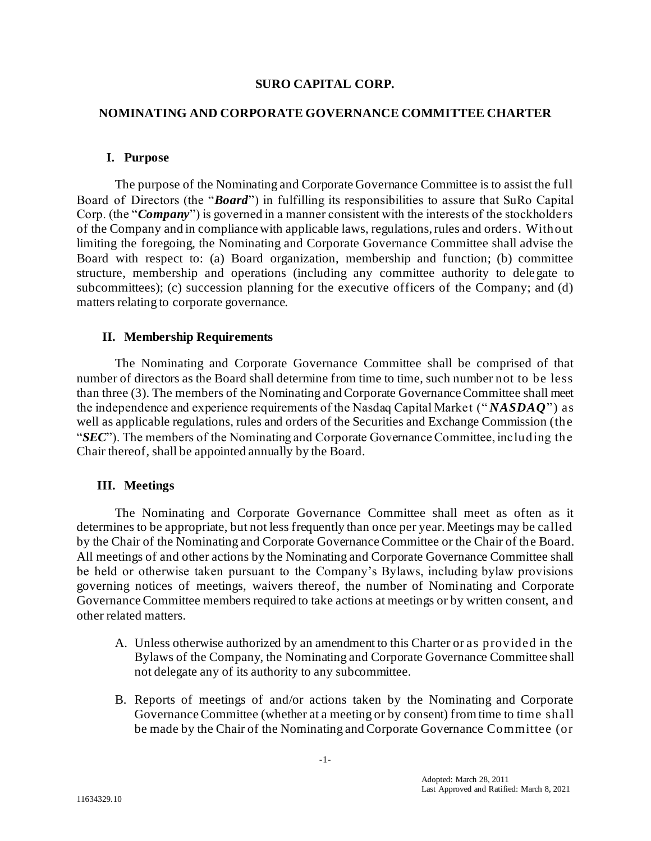### **SURO CAPITAL CORP.**

### **NOMINATING AND CORPORATE GOVERNANCE COMMITTEE CHARTER**

#### **I. Purpose**

The purpose of the Nominating and Corporate Governance Committee is to assist the full Board of Directors (the "*Board*") in fulfilling its responsibilities to assure that SuRo Capital Corp. (the "*Company*") is governed in a manner consistent with the interests of the stockholders of the Company and in compliance with applicable laws, regulations, rules and orders. Without limiting the foregoing, the Nominating and Corporate Governance Committee shall advise the Board with respect to: (a) Board organization, membership and function; (b) committee structure, membership and operations (including any committee authority to delegate to subcommittees); (c) succession planning for the executive officers of the Company; and (d) matters relating to corporate governance.

### **II. Membership Requirements**

The Nominating and Corporate Governance Committee shall be comprised of that number of directors as the Board shall determine from time to time, such number not to be less than three (3). The members of the Nominating and Corporate Governance Committee shall meet the independence and experience requirements of the Nasdaq Capital Market (" *NASDAQ*") as well as applicable regulations, rules and orders of the Securities and Exchange Commission (the "*SEC*"). The members of the Nominating and Corporate Governance Committee, including the Chair thereof, shall be appointed annually by the Board.

## **III. Meetings**

The Nominating and Corporate Governance Committee shall meet as often as it determines to be appropriate, but not less frequently than once per year. Meetings may be called by the Chair of the Nominating and Corporate Governance Committee or the Chair of the Board. All meetings of and other actions by the Nominating and Corporate Governance Committee shall be held or otherwise taken pursuant to the Company's Bylaws, including bylaw provisions governing notices of meetings, waivers thereof, the number of Nominating and Corporate Governance Committee members required to take actions at meetings or by written consent, and other related matters.

- A. Unless otherwise authorized by an amendment to this Charter or as provided in the Bylaws of the Company, the Nominating and Corporate Governance Committee shall not delegate any of its authority to any subcommittee.
- B. Reports of meetings of and/or actions taken by the Nominating and Corporate Governance Committee (whether at a meeting or by consent) from time to time shall be made by the Chair of the Nominating and Corporate Governance Committee (or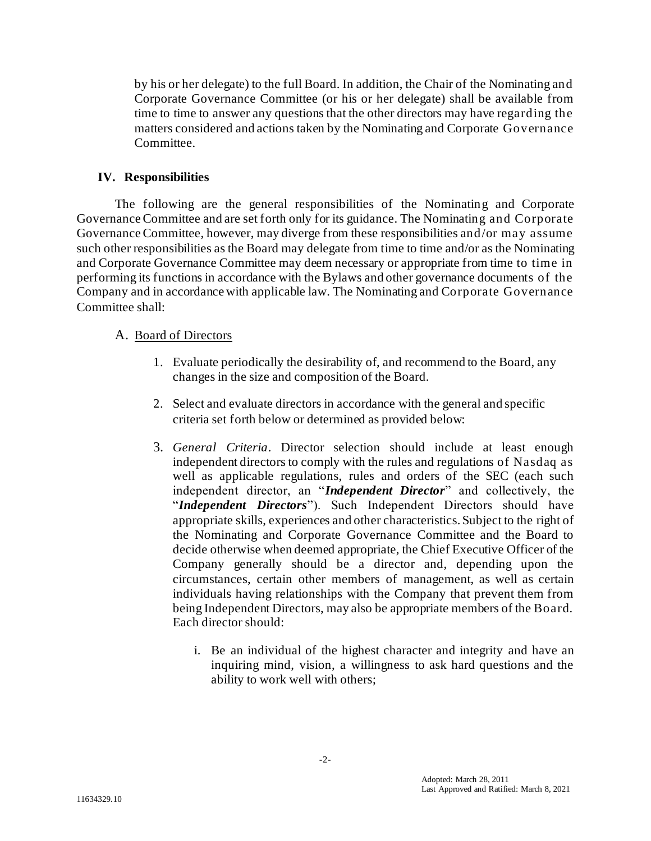by his or her delegate) to the full Board. In addition, the Chair of the Nominating and Corporate Governance Committee (or his or her delegate) shall be available from time to time to answer any questions that the other directors may have regarding the matters considered and actions taken by the Nominating and Corporate Governance Committee.

## **IV. Responsibilities**

The following are the general responsibilities of the Nominating and Corporate Governance Committee and are set forth only for its guidance. The Nominating and Corporate Governance Committee, however, may diverge from these responsibilities and/or may assume such other responsibilities as the Board may delegate from time to time and/or as the Nominating and Corporate Governance Committee may deem necessary or appropriate from time to time in performing its functions in accordance with the Bylaws and other governance documents of the Company and in accordance with applicable law. The Nominating and Corporate Governance Committee shall:

## A. Board of Directors

- 1. Evaluate periodically the desirability of, and recommend to the Board, any changes in the size and composition of the Board.
- 2. Select and evaluate directors in accordance with the general and specific criteria set forth below or determined as provided below:
- 3. *General Criteria*. Director selection should include at least enough independent directors to comply with the rules and regulations of Nasdaq as well as applicable regulations, rules and orders of the SEC (each such independent director, an "*Independent Director*" and collectively, the "*Independent Directors*"). Such Independent Directors should have appropriate skills, experiences and other characteristics. Subject to the right of the Nominating and Corporate Governance Committee and the Board to decide otherwise when deemed appropriate, the Chief Executive Officer of the Company generally should be a director and, depending upon the circumstances, certain other members of management, as well as certain individuals having relationships with the Company that prevent them from being Independent Directors, may also be appropriate members of the Board. Each director should:
	- i. Be an individual of the highest character and integrity and have an inquiring mind, vision, a willingness to ask hard questions and the ability to work well with others;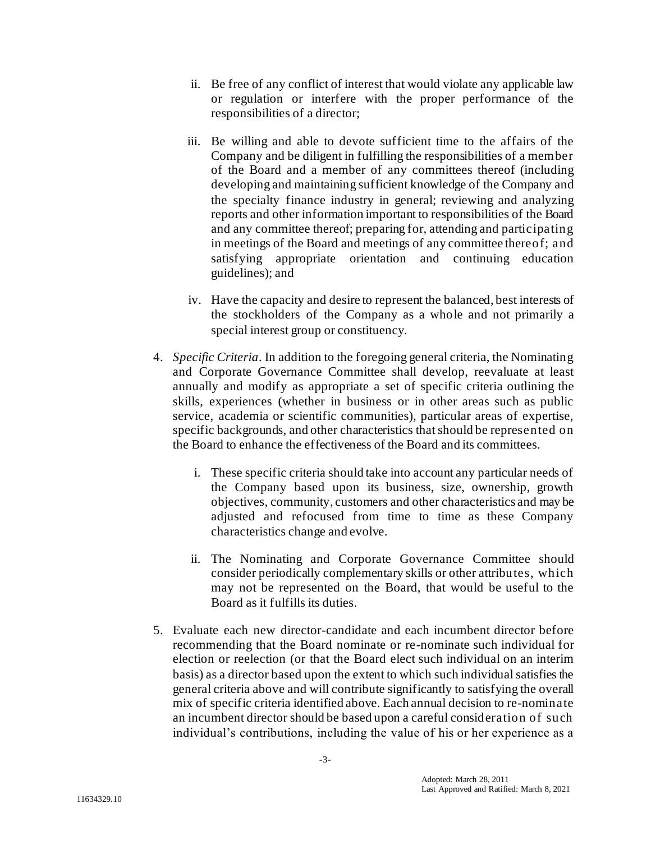- ii. Be free of any conflict of interest that would violate any applicable law or regulation or interfere with the proper performance of the responsibilities of a director;
- iii. Be willing and able to devote sufficient time to the affairs of the Company and be diligent in fulfilling the responsibilities of a member of the Board and a member of any committees thereof (including developing and maintaining sufficient knowledge of the Company and the specialty finance industry in general; reviewing and analyzing reports and other information important to responsibilities of the Board and any committee thereof; preparing for, attending and participating in meetings of the Board and meetings of any committee thereof; and satisfying appropriate orientation and continuing education guidelines); and
- iv. Have the capacity and desire to represent the balanced, best interests of the stockholders of the Company as a whole and not primarily a special interest group or constituency.
- 4. *Specific Criteria*. In addition to the foregoing general criteria, the Nominating and Corporate Governance Committee shall develop, reevaluate at least annually and modify as appropriate a set of specific criteria outlining the skills, experiences (whether in business or in other areas such as public service, academia or scientific communities), particular areas of expertise, specific backgrounds, and other characteristics that should be represented on the Board to enhance the effectiveness of the Board and its committees.
	- i. These specific criteria should take into account any particular needs of the Company based upon its business, size, ownership, growth objectives, community, customers and other characteristics and may be adjusted and refocused from time to time as these Company characteristics change and evolve.
	- ii. The Nominating and Corporate Governance Committee should consider periodically complementary skills or other attributes, which may not be represented on the Board, that would be useful to the Board as it fulfills its duties.
- 5. Evaluate each new director-candidate and each incumbent director before recommending that the Board nominate or re-nominate such individual for election or reelection (or that the Board elect such individual on an interim basis) as a director based upon the extent to which such individual satisfies the general criteria above and will contribute significantly to satisfying the overall mix of specific criteria identified above. Each annual decision to re-nominate an incumbent director should be based upon a careful consideration of such individual's contributions, including the value of his or her experience as a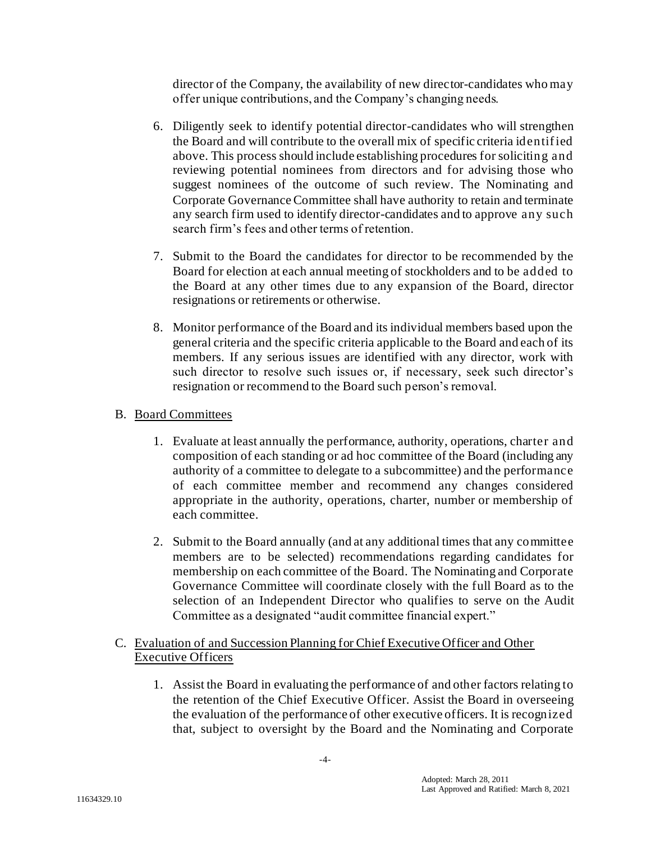director of the Company, the availability of new director-candidates who may offer unique contributions, and the Company's changing needs.

- 6. Diligently seek to identify potential director-candidates who will strengthen the Board and will contribute to the overall mix of specific criteria identif ied above. This process should include establishing procedures for soliciting and reviewing potential nominees from directors and for advising those who suggest nominees of the outcome of such review. The Nominating and Corporate Governance Committee shall have authority to retain and terminate any search firm used to identify director-candidates and to approve any such search firm's fees and other terms of retention.
- 7. Submit to the Board the candidates for director to be recommended by the Board for election at each annual meeting of stockholders and to be added to the Board at any other times due to any expansion of the Board, director resignations or retirements or otherwise.
- 8. Monitor performance of the Board and its individual members based upon the general criteria and the specific criteria applicable to the Board and each of its members. If any serious issues are identified with any director, work with such director to resolve such issues or, if necessary, seek such director's resignation or recommend to the Board such person's removal.

# B. Board Committees

- 1. Evaluate at least annually the performance, authority, operations, charter and composition of each standing or ad hoc committee of the Board (including any authority of a committee to delegate to a subcommittee) and the performance of each committee member and recommend any changes considered appropriate in the authority, operations, charter, number or membership of each committee.
- 2. Submit to the Board annually (and at any additional times that any committee members are to be selected) recommendations regarding candidates for membership on each committee of the Board. The Nominating and Corporate Governance Committee will coordinate closely with the full Board as to the selection of an Independent Director who qualifies to serve on the Audit Committee as a designated "audit committee financial expert."

## C. Evaluation of and Succession Planning for Chief Executive Officer and Other Executive Officers

1. Assist the Board in evaluating the performance of and other factors relating to the retention of the Chief Executive Officer. Assist the Board in overseeing the evaluation of the performance of other executive officers. It is recognized that, subject to oversight by the Board and the Nominating and Corporate